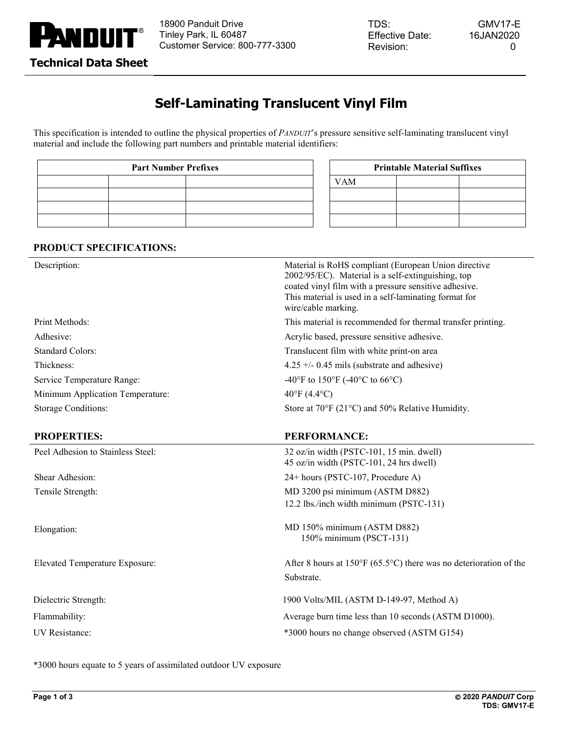

TDS: Effective Date: Revision:

# **Self-Laminating Translucent Vinyl Film**

This specification is intended to outline the physical properties of *PANDUIT*'s pressure sensitive self-laminating translucent vinyl material and include the following part numbers and printable material identifiers:

| <b>Part Number Prefixes</b> |  |            | <b>Printable Material Suffixes</b> |  |  |
|-----------------------------|--|------------|------------------------------------|--|--|
|                             |  | <b>VAM</b> |                                    |  |  |
|                             |  |            |                                    |  |  |
|                             |  |            |                                    |  |  |
|                             |  |            |                                    |  |  |

| <b>Printable Material Suffixes</b> |  |  |  |  |
|------------------------------------|--|--|--|--|
| <b>VAM</b>                         |  |  |  |  |
|                                    |  |  |  |  |
|                                    |  |  |  |  |
|                                    |  |  |  |  |

### **PRODUCT SPECIFICATIONS:**

| Description:                          | Material is RoHS compliant (European Union directive<br>2002/95/EC). Material is a self-extinguishing, top<br>coated vinyl film with a pressure sensitive adhesive.<br>This material is used in a self-laminating format for<br>wire/cable marking. |
|---------------------------------------|-----------------------------------------------------------------------------------------------------------------------------------------------------------------------------------------------------------------------------------------------------|
| Print Methods:                        | This material is recommended for thermal transfer printing.                                                                                                                                                                                         |
| Adhesive:                             | Acrylic based, pressure sensitive adhesive.                                                                                                                                                                                                         |
| <b>Standard Colors:</b>               | Translucent film with white print-on area                                                                                                                                                                                                           |
| Thickness:                            | $4.25 +/- 0.45$ mils (substrate and adhesive)                                                                                                                                                                                                       |
| Service Temperature Range:            | -40°F to 150°F (-40°C to 66°C)                                                                                                                                                                                                                      |
| Minimum Application Temperature:      | $40^{\circ}$ F (4.4 $^{\circ}$ C)                                                                                                                                                                                                                   |
| <b>Storage Conditions:</b>            | Store at $70^{\circ}$ F (21 $^{\circ}$ C) and 50% Relative Humidity.                                                                                                                                                                                |
| <b>PROPERTIES:</b>                    | <b>PERFORMANCE:</b>                                                                                                                                                                                                                                 |
| Peel Adhesion to Stainless Steel:     | 32 oz/in width (PSTC-101, 15 min. dwell)<br>45 oz/in width (PSTC-101, 24 hrs dwell)                                                                                                                                                                 |
| Shear Adhesion:                       | 24+ hours (PSTC-107, Procedure A)                                                                                                                                                                                                                   |
| Tensile Strength:                     | MD 3200 psi minimum (ASTM D882)                                                                                                                                                                                                                     |
|                                       | 12.2 lbs./inch width minimum (PSTC-131)                                                                                                                                                                                                             |
| Elongation:                           | MD 150% minimum (ASTM D882)<br>150% minimum (PSCT-131)                                                                                                                                                                                              |
| <b>Elevated Temperature Exposure:</b> | After 8 hours at $150^{\circ}F(65.5^{\circ}C)$ there was no deterioration of the                                                                                                                                                                    |
|                                       | Substrate.                                                                                                                                                                                                                                          |
| Dielectric Strength:                  | 1900 Volts/MIL (ASTM D-149-97, Method A)                                                                                                                                                                                                            |
| Flammability:                         | Average burn time less than 10 seconds (ASTM D1000).                                                                                                                                                                                                |
| <b>UV</b> Resistance:                 | *3000 hours no change observed (ASTM G154)                                                                                                                                                                                                          |

\*3000 hours equate to 5 years of assimilated outdoor UV exposure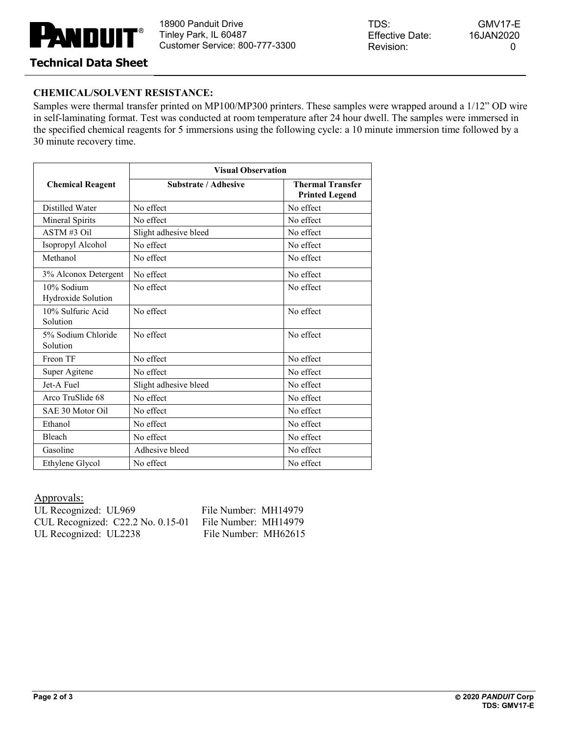# **LA** NDUN

18900 Panduit Drive Tinley Park, IL 60487 Customer Service: 800-777-3300 TDS: Effective Date: Revision:

GMV17-E 16JAN2020 0

## **Technical Data Sheet**

### **CHEMICAL/SOLVENT RESISTANCE:**

Samples were thermal transfer printed on MP100/MP300 printers. These samples were wrapped around a 1/12" OD wire in self-laminating format. Test was conducted at room temperature after 24 hour dwell. The samples were immersed in the specified chemical reagents for 5 immersions using the following cycle: a 10 minute immersion time followed by a 30 minute recovery time.

|                                  | <b>Visual Observation</b>   |                                                  |  |
|----------------------------------|-----------------------------|--------------------------------------------------|--|
| <b>Chemical Reagent</b>          | <b>Substrate / Adhesive</b> | <b>Thermal Transfer</b><br><b>Printed Legend</b> |  |
| Distilled Water                  | No effect                   | No effect                                        |  |
| Mineral Spirits                  | No effect                   | No effect                                        |  |
| $ASTM#3$ Oil                     | Slight adhesive bleed       | No effect                                        |  |
| Isopropyl Alcohol                | No effect                   | No effect                                        |  |
| Methanol                         | No effect                   | No effect                                        |  |
| 3% Alconox Detergent             | No effect                   | No effect                                        |  |
| 10% Sodium<br>Hydroxide Solution | No effect                   | No effect                                        |  |
| 10% Sulfuric Acid<br>Solution    | No effect                   | No effect                                        |  |
| 5% Sodium Chloride<br>Solution   | No effect                   | No effect                                        |  |
| Freon TF                         | No effect                   | No effect                                        |  |
| Super Agitene                    | No effect                   | No effect                                        |  |
| Jet-A Fuel                       | Slight adhesive bleed       | No effect                                        |  |
| Arco TruSlide 68                 | No effect                   | No effect                                        |  |
| SAE 30 Motor Oil                 | No effect                   | No effect                                        |  |
| Ethanol                          | No effect                   | No effect                                        |  |
| <b>Bleach</b>                    | No effect                   | No effect                                        |  |
| Gasoline                         | Adhesive bleed              | No effect                                        |  |
| Ethylene Glycol                  | No effect                   | No effect                                        |  |

Approvals:

UL Recognized: UL969 File Number: MH14979 CUL Recognized: C22.2 No. 0.15-01 File Number: MH14979 UL Recognized: UL2238 File Number: MH62615